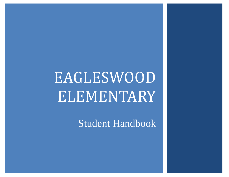# EAGLESWOOD **ELEMENTARY**

Student Handbook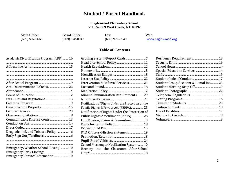#### **Student / Parent Handbook**

#### **Eagleswood Elementary School 511 Route 9 West Creek, NJ 08092**

Main Office: Board Office: Fax: Web: 609) 597-3663 (609) 978-0947 (609) 978-0949

(609) 597-3663 (609) 978-0947 (609) 978-0949 [www.eagleswood.org](http://www.eagleswood.org/)

#### **Table of Contents**

| Academic Diversification Program (ADP) 16 |
|-------------------------------------------|
|                                           |
|                                           |
|                                           |
|                                           |
|                                           |
| Anti-Discrimination Policies 22           |
|                                           |
|                                           |
| Bus Rules and Regulations  13             |
|                                           |
|                                           |
|                                           |
|                                           |
| Communicable Disease Control 13           |
|                                           |
|                                           |
| Drug, Alcohol, and Tobacco Policy  16     |
|                                           |
|                                           |
|                                           |
|                                           |
| Emergency/Weather School Closing 10       |
|                                           |
| Emergency Contact Information 10          |

| Grading System/Report Cards7                       |  |
|----------------------------------------------------|--|
|                                                    |  |
|                                                    |  |
|                                                    |  |
|                                                    |  |
|                                                    |  |
| Intervention & Referral Services 21                |  |
|                                                    |  |
|                                                    |  |
| Minimal Immunization Requirements 29               |  |
|                                                    |  |
| Notification of Rights Under the Protection of the |  |
| Family Rights & Privacy Act (FERPA) 25             |  |
| Notification of Rights Under the Protection of     |  |
| Public Rights Amendment (PPRA)  26                 |  |
| Our Mission, Vision, & Commitment3                 |  |
|                                                    |  |
|                                                    |  |
| PTA Officers/Mission Statement 19                  |  |
|                                                    |  |
|                                                    |  |
| School Messenger Notification System 10            |  |
| Reentry into the Classroom After-School            |  |
|                                                    |  |

| Student Group Accident & Dental Ins23 |  |
|---------------------------------------|--|
|                                       |  |
|                                       |  |
|                                       |  |
|                                       |  |
|                                       |  |
|                                       |  |
|                                       |  |
|                                       |  |
|                                       |  |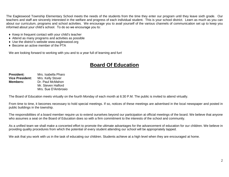The Eagleswood Township Elementary School meets the needs of the students from the time they enter our program until they leave sixth grade. Our teachers and staff are sincerely interested in the welfare and progress of each individual student. This is your school district. Learn as much as you can about our curriculum, programs and school activities. We encourage you to avail yourself of the various channels of communication set up to keep you informed about your child's school. To do so we encourage you to:

- ♦ Keep in frequent contact with your child's teacher
- ♦ Attend as many programs and activities as possible
- ♦ Use the district's website www.eagleswood.org
- ♦ Become an active member of the PTA

We are looking forward to working with you and to a year full of learning and fun!

### **Board Of Education**

**President:** Mrs. Isabella Pharo **Vice President:** Mrs. Kelly Stover **Members:** Dr. Paul McMahon Mr. Steven Halford Mrs. Sue D'Ambrosio

The Board of Education meets virtually on the fourth Monday of each month at 6:30 P.M. The public is invited to attend virtually.

From time to time, it becomes necessary to hold special meetings. If so, notices of these meetings are advertised in the local newspaper and posted in public buildings in the township.

The responsibilities of a board member require us to extend ourselves beyond our participation at official meetings of the board. We believe that anyone who assumes a seat on the Board of Education does so with a firm commitment to the interests of the school and community.

As a unified team we shall make a concerted effort to promote the ultimate advantages for the advancement of education for our children. We believe in providing quality procedures from which the potential of every student attending our school will be appropriately tapped.

We ask that you work with us in the task of educating our children. Students achieve at a high level when they are encouraged at home.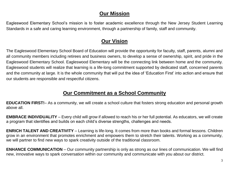#### **Our Mission**

Eagleswood Elementary School's mission is to foster academic excellence through the New Jersey Student Learning Standards in a safe and caring learning environment, through a partnership of family, staff and community.

### **Our Vision**

The Eagleswood Elementary School Board of Education will provide the opportunity for faculty, staff, parents, alumni and all community members including retirees and business owners, to develop a sense of ownership, spirit, and pride in the Eagleswood Elementary School. Eagleswood Elementary will be the connecting link between home and the community. Eagleswood students will realize that learning is a life-long commitment supported by dedicated staff, concerned parents and the community at large. It is the whole community that will put the idea of 'Education First' into action and ensure that our students are responsible and respectful citizens.

### **Our Commitment as a School Community**

**EDUCATION FIRST!**– As a community, we will create a school culture that fosters strong education and personal growth above all.

**EMBRACE INDIVIDUALITY** – Every child will grow if allowed to reach his or her full potential. As educators, we will create a program that identifies and builds on each child's diverse strengths, challenges and needs.

**ENRICH TALENT AND CREATIVITY** – Learning is life-long. It comes from more than books and formal lessons. Children grow in an environment that promotes enrichment and empowers them to stretch their talents. Working as a community, we will partner to find new ways to spark creativity outside of the traditional classroom.

**ENHANCE COMMUNICATION** – Our community partnership is only as strong as our lines of communication. We will find new, innovative ways to spark conversation within our community and communicate with you about our district.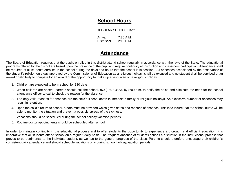#### **School Hours**

#### REGULAR SCHOOL DAY:

Arrival 7:30 A.M. Dismissal 2:15 P.M.

#### **Attendance**

The Board of Education requires that the pupils enrolled in this district attend school regularly in accordance with the laws of the State. The educational programs offered by the district are based upon the presence of the pupil and require continuity of instruction and classroom participation. Attendance shall be required of all students enrolled in the school during the days and hours that the school is in session. All absences occasioned by the observance of the student's religion on a day approved by the Commissioner of Education as a religious holiday, shall be excused and no student shall be deprived of an award or eligibility to compete for an award or the opportunity to make up a test given on a religious holiday.

- 1. Children are expected to be in school for 180 days.
- 2. When children are absent, parents should call the school, (609) 597-3663, by 8:00 a.m. to notify the office and eliminate the need for the school attendance officer to call to check the reason for the absence.
- 3. The only valid reasons for absence are the child's illness, death in immediate family or religious holidays. An excessive number of absences may result in retention.
- 4. Upon the child's return to school, a note must be provided which gives dates and reasons of absence. This is to insure that the school nurse will be able to monitor the situation and prevent a possible spread of the sickness.
- 5. Vacations should be scheduled during the school holiday/vacation periods.
- 6. Routine doctor appointments should be scheduled after school.

In order to maintain continuity in the educational process and to offer students the opportunity to experience a thorough and efficient education, it is imperative that all students attend school on a regular, daily basis. The frequent absence of students causes a disruption in the instructional process that proves to be detrimental to the individual student, as well as to the general progress of the class. Parents should therefore encourage their children's consistent daily attendance and should schedule vacations only during school holiday/vacation periods.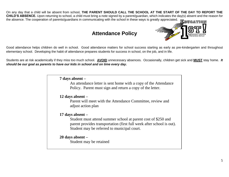On any day that a child will be absent from school, **THE PARENT SHOULD CALL THE SCHOOL AT THE START OF THE DAY TO REPORT THE CHILD'S ABSENCE.** Upon returning to school, a child must bring a note signed by a parent/guardian, which indicates the day(s) absent and the reason for the absence. The cooperation of parents/guardians in communicating with the school in these ways is greatly appreciated.

### **Attendance Policy**



Good attendance helps children do well in school. Good attendance matters for school success starting as early as pre-kindergarten and throughout elementary school. Developing the habit of attendance prepares students for success in school, on the job, and in life.

Students are at risk academically if they miss too much school. **AVOID** unnecessary absences. Occasionally, children get sick and **MUST** stay home. *It should be our goal as parents to have our kids in school and on time every day.*

**7 days absent –**

An attendance letter is sent home with a copy of the Attendance Policy. Parent must sign and return a copy of the letter.

**12 days absent –**

Parent will meet with the Attendance Committee, review and adjust action plan

**17 days absent –**

Student must attend summer school at parent cost of \$250 and parent provides transportation (first full week after school is out). Student may be referred to municipal court.

#### **20 days absent –**

Student may be retained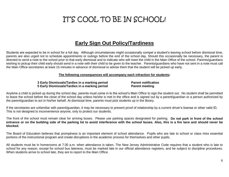## IT'S COOL TO BE IN SCHOOL!

#### **Early Sign Out Policy/Tardiness**

Students are expected to be in school for a full day. Although circumstances might occasionally compel a student's leaving school before dismissal time, parents are also urged not to schedule appointments or outings before the end of the school day. Should this occasionally be necessary, the parent is directed to send a note to the school prior to that early dismissal and to indicate who will meet the child in the Main Office of the school. Parents/guardians wishing to pickup their child early should send in a note with their child to be given to the teacher. Parents/guardians who have not sent in a note must call the Main Office secretaries at least 15 minutes in advance of dismissal to advise them that the student will be picked up early.

#### **The following consequences will accompany each infraction for students:**

#### **3 Early Dismissals/Tardies in a marking period Parent notification 5 Early Dismissals/Tardies in a marking period Parent meeting**

Anytime a child is picked up during the school day, parents must come in to the school's Main Office to sign the student out. No student shall be permitted to leave the school before the close of the school day unless he/she is met in the office and is signed out by a parent/guardian or a person authorized by the parent/guardian to act in his/her behalf. At dismissal time, parents must pick students up in the library.

If the secretaries are unfamiliar with parent/guardian, it may be necessary to present proof of relationship by a current driver's license or other valid ID. This is not designed to inconvenience anyone, only to protect our students.

The front of the school must remain clear for arriving buses. Please use parking spaces designated for parking. **Do not park in front of the school entrance or on the building side of the parking lot to avoid interference with the school buses. Also, this is a fire lane and should never be blocked.** 

The Board of Education believes that promptness is an important element of school attendance. Pupils who are late to school or class miss essential portions of the instructional program and create disruptions in the academic process for themselves and other pupils.

All students must be in homerooms at 7:30 a.m. when attendance is taken. The New Jersey Administrative Code requires that a student who is late to school for any reason, except for school bus lateness, must be marked late in our official attendance registers, and be subject to discipline procedures. When students arrive to school late, they are to report to the Main Office.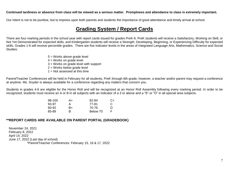#### **Continued tardiness or absence from class will be viewed as a serious matter. Promptness and attendance to class is extremely important.**

Our intent is not to be punitive, but to impress upon both parents and students the importance of good attendance and timely arrival at school.

#### **Grading System / Report Cards**

There are four marking periods in the school year with report cards issued for grades PreK-6. PreK students will receive a Satisfactory, Working on Skill, or Not Yet Demonstrated for expected skills, and Kindergarten students will receive a Strength, Developing, Beginning, or Experiencing Difficulty for expected skills. Grades 1-6 will receive percentile grades. There are five indicator levels in the areas of Integrated Language Arts, Mathematics, Science and Social Studies:

> 5 = Works above grade level 4 = Works on grade level 3 = Works on grade level with support 2 = Works below grade level  $1 =$  Not assessed at this time

Parent/Teacher Conferences will be held in February for all students, PreK through 6th grade, however, a teacher and/or parent may request a conference at anytime. Ms. Snyder is always available for a conference regarding any matters that concern you.

Students in grades 4-6 are eligible for the Honor Roll and will be recognized at an Honor Roll Assembly following every marking period. In order to be recognized, students must receive an A or B in all subjects with an indicator of a 3 or above and a "S" or "O" in all special area subjects.

| 98-100 | A+ | 82-84    | C+ |
|--------|----|----------|----|
| 93-97  | А  | 77-81    | C  |
| 90-92  | B+ | 70-76    | D  |
| 85-89  | R  | Below 70 | F. |

#### **\*\*REPORT CARDS ARE AVAILABLE ON PARENT PORTAL (GRADEBOOK)**

November 24, 2021 February 8, 2022 April 14, 2022 June 17, 2022 (Last day of school) \*Parent/Teacher Conferences: February 15, 16 & 17, 2022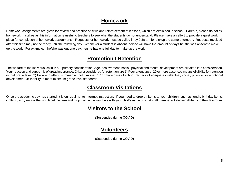#### **Homework**

Homework assignments are given for review and practice of skills and reinforcement of lessons, which are explained in school. Parents, please do not fix homework mistakes as this information is useful to teachers to see what the students do not understand. Please make an effort to provide a quiet work place for completion of homework assignments. Requests for homework must be called in by 9:30 am for pickup the same afternoon. Requests received after this time may not be ready until the following day. Whenever a student is absent, he/she will have the amount of days he/she was absent to make up the work. For example, if he/she was out one day, he/she has one full day to make up the work

#### **Promotion / Retention**

The welfare of the individual child is our primary consideration. Age, achievement, social, physical and mental development are all taken into consideration. Your reaction and support is of great importance. Criteria considered for retention are 1) Poor attendance: 20 or more absences means eligibility for retention in that grade level. 2) Failure to attend summer school if missed 17 or more days of school. 3) Lack of adequate intellectual, social, physical, or emotional development. 4) Inability to meet minimum grade level standards.

#### **Classroom Visitations**

Once the academic day has started, it is our goal not to interrupt instruction. If you need to drop off items to your children, such as lunch, birthday items, clothing, etc., we ask that you label the item and drop it off in the vestibule with your child's name on it. A staff member will deliver all items to the classroom.

### **Visitors to the School**

(Suspended during COVID)

### **Volunteers**

(Suspended during COVID)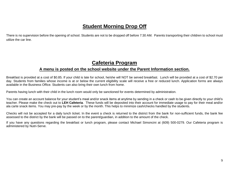### **Student Morning Drop Off**

There is no supervision before the opening of school. Students are not to be dropped off before 7:30 AM. Parents transporting their children to school must utilize the car line.

#### **Cafeteria Program**

#### **A menu is posted on the school website under the Parent Information section.**

Breakfast is provided at a cost of \$0.85. If your child is late for school, he/she will NOT be served breakfast. Lunch will be provided at a cost of \$2.70 per day. Students from families whose income is at or below the current eligibility scale will receive a free or reduced lunch. Application forms are always available in the Business Office. Students can also bring their own lunch from home.

Parents having lunch with their child in the lunch room would only be sanctioned for events determined by administration.

You can create an account balance for your student's meal and/or snack items at anytime by sending in a check or cash to be given directly to your child's teacher. Please make the check out to **LEH Cafeteria**. These funds will be deposited into their account for immediate usage to pay for their meal and/or ala carte snack items. You may pre-pay by the week or by the month. This helps to minimize cash/checks handled by the students.

Checks will not be accepted for a daily lunch ticket. In the event a check is returned to the district from the bank for non-sufficient funds, the bank fee assessed to the district by the bank will be passed on to the parent/guardian, in addition to the amount of the check.

If you have any questions regarding the breakfast or lunch program, please contact Michael Simoncini at (609) 500-0279. Our Cafeteria program is administered by Nutri-Serve.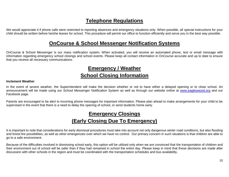#### **Telephone Regulations**

We would appreciate it if phone calls were restricted to reporting absences and emergency situations only. When possible, all special instructions for your child should be written before he/she leaves for school. This procedure will permit our office to function efficiently and serve you in the best way possible.

#### **OnCourse & School Messenger Notification Systems**

OnCourse & School Messenger is our mass notification system. When activated, you will receive an automated phone, text or email message with information regarding emergency school closings and school events. Please keep all contact information in OnCourse accurate and up to date to ensure that you receive all necessary communications.

### **Emergency / Weather School Closing Information**

#### **Inclement Weather**

In the event of severe weather, the Superintendent will make the decision whether or not to have either a delayed opening or to close school. An announcement will be made using our School Messenger Notification System as well as through our website online at [www.eagleswood.org](http://www.eagleswood.org/) and our Facebook page.

Parents are encouraged to be alert to incoming phone messages for important information. Please plan ahead to make arrangements for your child to be supervised in the event that there is a need to delay the opening of school, or send students home early.

### **Emergency Closings (Early Closing Due To Emergency)**

It is important to note that considerations for early dismissal procedures must take into account not only dangerous winter road conditions, but also flooding and forest fire possibilities, as well as other emergencies over which we have no control. Our primary concern in such situations is that children are able to go to a safe environment.

Because of the difficulties involved in dismissing school early, this option will be utilized only when we are convinced that the transportation of children and their environment out of school will be safer than if they had remained in school the entire day. Please keep in mind that these decisions are made after discussion with other schools in the region and must be coordinated with the transportation schedules and bus availability.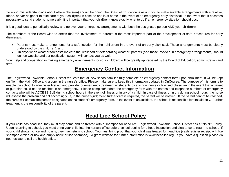To avoid misunderstandings about where child(ren) should be going, the Board of Education is asking you to make suitable arrangements with a relative, friend, and/or neighbor to take care of your child(ren) in case no one is at home in the event of an emergency early dismissal. In the event that it becomes necessary to send students home early, it is important that your child(ren) know exactly what to do if an emergency situation should occur.

It is a good idea to periodically review and go over your emergency arrangements with both the designated person AND your child(ren).

The members of the Board wish to stress that the involvement of parents is the most important part of the development of safe procedures for early dismissals:

- Parents must make arrangements for a safe location for their child(ren) in the event of an early dismissal. These arrangements must be clearly understood by the child(ren); and
- On days when weather forecasts indicate the likelihood of deteriorating weather, parents (and those involved in emergency arrangements) should look on website and our notification system will contact you as well.

Your help and cooperation in making emergency arrangements for your child(ren) will be greatly appreciated by the Board of Education, administration and staff.

#### **Emergency Contact Information**

The Eagleswood Township School District requests that all new school families fully complete an emergency contact form upon enrollment. It will be kept on file in the Main Office and a copy in the nurse's office. Please make sure to keep this information updated in OnCourse. The purpose of this form is to enable the school to administer first aid and provide for emergency treatment of students by a school nurse or licensed physician in the event that a parent or guardian could not be reached in an emergency. Please complete/update the emergency form with the names and telephone numbers of emergency contacts who will be ACCESSIBLE during school hours in the event of illness or injury of a child. In case of illness or injury during school hours, the nurse will assess the problem and act accordingly. If, in the nurse's judgment, further care is required, the parent will be notified. If the parent cannot be reached, the nurse will contact the person designated on the student's emergency form. In the event of an accident, the school is responsible for first aid only. Further treatment is the responsibility of the parent.

### **Head Lice School Policy**

If your child has head lice, they must stay home and be treated with a shampoo for head lice. Eagleswood Township School District has a "No Nit" Policy. Upon returning to school, you must bring your child into the nurse's office before school begins for a head inspection and clearance to return to school. If your child shows no lice and no nits, they may return to school. You must bring proof that your child was treated for head lice (cash register receipt with lice shampoo circled/or box and empty bottle of lice shampoo). A great website for further information is www.headlice.org. If you have a question please do not hesitate to call the health office.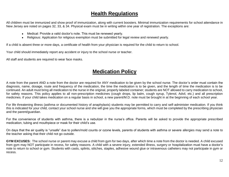#### **Health Regulations**

All children must be immunized and show proof of immunization, along with current boosters. Minimal immunization requirements for school attendance in New Jersey are noted on pages 32, 33, & 34. Physical exam must be in writing within one year of registration. The exceptions are:

- Medical: Provide a valid doctor's note. This must be renewed yearly.
- Religious: Application for religious exemption must be submitted for legal review and renewed yearly.

If a child is absent three or more days, a certificate of health from your physician is required for the child to return to school.

Your child should immediately report any accident or injury to the school nurse or teacher.

All staff and students are required to wear face masks.

### **Medication Policy**

A note from the parent AND a note from the doctor are required for ANY medication to be given by the school nurse. The doctor's order must contain the diagnosis, name, dosage, route and frequency of the medication, the time the medication is to be given, and the length of time the medication is to be continued. An adult must bring all medication to the nurse in the original, properly labeled container; students are NOT allowed to carry medication to school, for safety reasons. This policy applies to all non-prescription medicines (cough drops, lip balm, cough syrup, Tylenol, Advil, etc.) and all prescription medicines. If your child takes medication on a regular basis in school, a new parent/M.D. note must be brought in at the beginning of each school year.

For life threatening illness (asthma or documented history of anaphylaxis) students may be permitted to carry and self-administer medication. If you think this is indicated for your child, contact your school nurse and she will give you the appropriate forms, which must be completed by the prescribing physician and the parent/guardian.

For the convenience of students with asthma, there is a nebulizer in the nurse's office. Parents will be asked to provide the appropriate prescribed medication, tubing and mouthpiece or mask for their child's use.

On days that the air quality is "unsafe" due to pollen/mold counts or ozone levels, parents of students with asthma or severe allergies may send a note to the teacher asking that their child not go outside.

**GYM EXCUSES:** The school nurse or parent may excuse a child from gym for two days, after which time a note from the doctor is needed. A child excused from gym may NOT participate in recess, for safety reasons. A child with a severe injury, extended illness, surgery or hospitalization must have a doctor's note to return to school or gym. Students with casts, splints, stitches, staples, adhesive wound glue or intravenous catheters may not participate in gym or recess.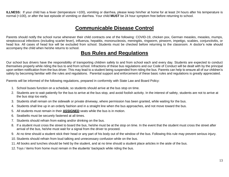**ILLNESS:** If your child has a fever (temperature >100), vomiting or diarrhea, please keep him/her at home for at least 24 hours after his temperature is normal (<100), or after the last episode of vomiting or diarrhea. Your child **MUST** be 24 hour symptom free before returning to school.

#### **Communicable Disease Control**

Parents should notify the school nurse whenever their child contracts one of the following: COVID-19, chicken pox, German measles, measles, mumps, streptococcal infections (including scarlet fever), influenza, hepatitis, mononucleosis, meningitis, ringworm, pinworm, impetigo, scabies, conjunctivitis, or head lice. All cases of head lice will be excluded from school. Students must be checked before returning to the classroom. A doctor's note should accompany the child when he/she returns to school.

#### **Bus Rules and Regulations**

Our school bus drivers have the responsibility of transporting children safely to and from school each and every day. Students are expected to conduct themselves properly while riding the bus to and from school. Infractions of these bus regulations and our Code of Conduct will be dealt with by the principal upon written notification from the bus driver. This may lead to a student being suspended from riding the bus. Parents can help to ensure all of our children's safety by becoming familiar with the rules and regulations. Parental support and enforcement of these basic rules and regulations is greatly appreciated.

Parents will be informed of the following regulations, prepared in conformity with State Law and Board Policy:

- 1. School buses function on a schedule, so students should arrive at the bus stop on time.
- 2. Students are to wait patiently for the bus to arrive at the bus stop, and avoid foolish activity. In the interest of safety, students are not to arrive at the bus stop too early.
- 3. Students shall remain on the sidewalk or private driveway, where permission has been granted, while waiting for the bus.
- 4. Students shall line up in an orderly fashion and in a straight line when the bus approaches, and not move toward the bus.
- 5. All students must remain in their **ASSIGNED** seats while the bus is in motion.
- 6. Seatbelts must be securely fastened at all times.
- 7. Students should refrain from eating and/or drinking on the bus.
- 8. If a student must cross the street to board the bus, he/she must be at the stop on time. In the event that the student must cross the street after arrival of the bus, he/she must wait for a signal from the driver to proceed.
- 9. At no time should a student stick their head or any part of his body out of the window of the bus. Following this rule may prevent serious injury.
- 10. Students should refrain from loud talking and unnecessary confusion while on the bus.
- 11. All books and lunches should be held by the student, and at no time should a student place articles in the aisle of the bus.
- 12. Toys / items from home must remain in the students' backpack while riding the bus.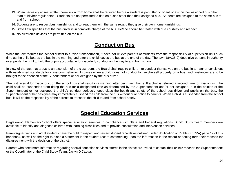- 13. When necessity arises, written permission from home shall be required before a student is permitted to board or exit his/her assigned bus other than at his/her regular stop. Students are not permitted to ride on buses other than their assigned bus. Students are assigned to the same bus to and from school.
- 14. Students are to respect bus furnishings and to treat them with the same regard they give their own home furnishings.
- 15. State Law specifies that the bus driver is in complete charge of the bus. He/she should be treated with due courtesy and respect.
- 16. No electronic devices are permitted on the bus.

### **Conduct on Bus**

While the law requires the school district to furnish transportation, it does not relieve parents of students from the responsibility of supervision until such time as the child boards the bus in the morning and after the child leaves the bus at the end of the day. The law (18A:25-2) does give persons in authority over pupils the right to hold the pupils accountable for disorderly conduct on the way to and from school.

In view of the fact that a bus is an extension of the classroom, the Board shall require children to conduct themselves on the bus in a manner consistent with established standards for classroom behavior. In cases when a child does not conduct himself/herself properly on a bus, such instances are to be brought to the attention of the Superintendent or her designee by the bus driver.

The first referral for misconduct on the school bus shall result in a warning letter being sent home. If a child is referred a second time for misconduct, the child shall be suspended from riding the bus for a designated time as determined by the Superintendent and/or her designee. If in the opinion of the Superintendent or her designee the child's conduct seriously jeopardizes the health and safety of the school bus driver and pupils on the bus, the Superintendent or her designee may immediately suspend the child from the bus without prior notice to parents. When a child is suspended from the school bus, it will be the responsibility of the parents to transport the child to and from school safely.

### **Special Education Services**

Eagleswood Elementary School offers special education services in compliance with State and Federal regulations. Child Study Team members are available to identify and diagnose children with learning disabilities and to provide consultation and intervention services.

Parents/guardians and adult students have the right to inspect and review student records as outlined under Notification of Rights (FERPA) page 19 of this handbook, as well as the right to place a statement in the student record commenting upon the information in the record or setting forth their reasons for disagreement with the decision of the district.

Parents who need more information regarding special education services offered in the district are invited to contact their child's teacher, the Superintendent or the Coordinator of the Child Study Team, Jaclyn DiCapua.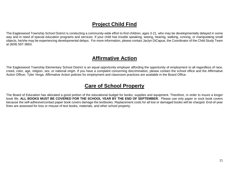### **Project Child Find**

The Eagleswood Township School District is conducting a community-wide effort to find children, ages 3-21, who may be developmentally delayed in some way and in need of special education programs and services. If your child has trouble speaking, seeing, hearing, walking, running, or manipulating small objects, he/she may be experiencing developmental delays. For more information, please contact Jaclyn DiCapua, the Coordinator of the Child Study Team at (609) 597-3663.

#### **Affirmative Action**

The Eagleswood Township Elementary School District is an equal opportunity employer affording the opportunity of employment to all regardless of race, creed, color, age, religion, sex, or national origin. If you have a complaint concerning discrimination, please contact the school office and the Affirmative Action Officer, Tyler Verga. Affirmative Action policies for employment and classroom practices are available in the Board Office.

### **Care of School Property**

The Board of Education has allocated a good portion of the educational budget for books, supplies and equipment. Therefore, in order to insure a longer book life, **ALL BOOKS MUST BE COVERED FOR THE SCHOOL YEAR BY THE END OF SEPTEMBER.** Please use only paper or sock book covers because the self-adhesive/contact paper book covers damage the textbooks. Replacement costs for all lost or damaged books will be charged. End-of-year fines are assessed for loss or misuse of text books, materials, and other school property.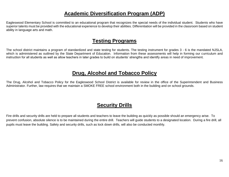#### **Academic Diversification Program (ADP)**

Eagleswood Elementary School is committed to an educational program that recognizes the special needs of the individual student. Students who have superior talents must be provided with the educational experience to develop their abilities. Differentiation will be provided in the classroom based on student ability in language arts and math.

#### **Testing Programs**

The school district maintains a program of standardized and state testing for students. The testing instrument for grades 3 - 6 is the mandated NJSLA, which is administered as outlined by the State Department of Education. Information from these assessments will help in forming our curriculum and instruction for all students as well as allow teachers in later grades to build on students' strengths and identify areas in need of improvement.

#### **Drug, Alcohol and Tobacco Policy**

The Drug, Alcohol and Tobacco Policy for the Eagleswood School District is available for review in the office of the Superintendent and Business Administrator. Further, law requires that we maintain a SMOKE FREE school environment both in the building and on school grounds.

### **Security Drills**

Fire drills and security drills are held to prepare all students and teachers to leave the building as quickly as possible should an emergency arise. To prevent confusion, absolute silence is to be maintained during the entire drill. Teachers will guide students to a designated location. During a fire drill, all pupils must leave the building. Safety and security drills, such as lock down drills, will also be conducted monthly.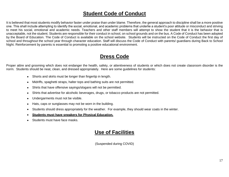#### **Student Code of Conduct**

It is believed that most students modify behavior faster under praise than under blame. Therefore, the general approach to discipline shall be a more positive one. This shall include attempting to identify the social, emotional, and academic problems that underlie a student's poor attitude or misconduct and striving to meet his social, emotional and academic needs. Teachers and other staff members will attempt to show the student that it is the behavior that is unacceptable, not the student. Students are responsible for their conduct in school, on school grounds and on the bus. A Code of Conduct has been adopted by the Board of Education. The Code of Conduct is available on the school website. Students will be instructed on the Code of Conduct the first day of school and throughout the school year through character education. Staff will discuss the Code of Conduct with parents/ guardians during Back to School Night. Reinforcement by parents is essential to promoting a positive educational environment.

### **Dress Code**

Proper attire and grooming which does not endanger the health, safety, or attentiveness of students or which does not create classroom disorder is the norm. Students should be neat, clean, and dressed appropriately. Here are some guidelines for students:

- Shorts and skirts must be longer than fingertip in length.
- Midriffs, spaghetti straps, halter tops and bathing suits are not permitted.
- Shirts that have offensive sayings/slogans will not be permitted.
- Shirts that advertise for alcoholic beverages, drugs, or tobacco products are not permitted.
- Undergarments must not be visible.
- Hats, caps or sunglasses may not be worn in the building.
- Students should dress appropriately for the weather. For example, they should wear coats in the winter.
- **Students must have sneakers for Physical Education.**
- Students must have face masks.

#### **Use of Facilities**

(Suspended during COVID)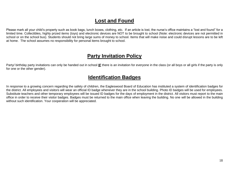#### **Lost and Found**

Please mark all your child's property such as book bags, lunch boxes, clothing, etc. If an article is lost, the nurse's office maintains a "lost and found" for a limited time. Collectibles, highly prized items (toys) and electronic devices are NOT to be brought to school (Note: electronic devices are not permitted in school or on the school bus). Students should not bring large sums of money to school. Items that will make noise and could disrupt lessons are to be left at home. The school assumes no responsibility for personal items brought to school.

#### **Party Invitation Policy**

Party/ birthday party invitations can only be handed out in school **IF** there is an invitation for everyone in the class (or all boys or all girls if the party is only for one or the other gender).

#### **Identification Badges**

In response to a growing concern regarding the safety of children, the Eagleswood Board of Education has instituted a system of identification badges for the district. All employees and visitors will wear an official ID badge whenever they are in the school building. Photo ID badges will be used for employees. Substitute teachers and other temporary employees will be issued ID badges for the days of employment in the district. All visitors must report to the main office in order to receive their visitor badges. Badges must be returned to the main office when leaving the building. No one will be allowed in the building without such identification. Your cooperation will be appreciated.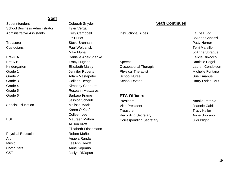#### **Staff**

Superintendent Deborah Snyder School Business Administrator Tyler Verga Administrative Assistants **Kelly Campbell** 

Special Education **Melissa Mack** 

Physical Education Robert Muñoz Art **Angela Randall** Music **Music LeeAnn** Hewitt Computers **Anne Soprano** CST Jaclyn DiCapua

Liz Purks Treasurer **Steve Brennan** Custodians Paul Woldanski Mike Muha Pre-K A Danielle Apel-Shenko Pre-K B Tracy Hughes Kindergarten **Elizabeth Maley** Grade 1 **Grade 1** Jennifer Roberts Grade 2 **Adam Mastapeter** Adam Mastapeter Grade 3 Colleen Dengel Grade 4 Kimberly Candurra Grade 5 **Roseann** Meszaros Grade 6 **Barbara** Frame Jessica Schaub Karen O'Keefe Colleen Lee BSI Maureen Mahon Allison Krott Elizabeth Frischmann

#### **Staff Continued**

**Instructional Aides Laurie Budd** 

Speech Danielle Pagel Occupational Therapist Lauren Condoleon Physical Therapist **Michelle Fontana** School Nurse **Superintendent Superintendent Superintendent Superintendent Superintendent Superintendent Superintendent Superintendent Superintendent Superintendent Superintendent Superintendent Superintendent Superintenden** 

#### **PTA Officers**

Vice President Vice President According to the United States of the United States of the United States of the U Treasurer Treasurer Tracy Keller Recording Secretary **Anne Soprano** Corresponding Secretary **Corresponding Secretary** Judi Blight

JoAnne Capozzi Patty Horner Terri Marsillo JoAnne Sprague Felicia DiRocco School Doctor **Harry Larkin**, MD

President Natalie Peterka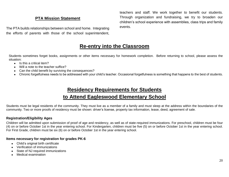#### **PTA Mission Statement**

The PTA builds relationships between school and home. Integrating the efforts of parents with those of the school superintendent, teachers and staff. We work together to benefit our students. Through organization and fundraising, we try to broaden our children's school experience with assemblies, class trips and family events.

#### **Re-entry into the Classroom**

Students sometimes forget books, assignments or other items necessary for homework completion. Before returning to school, please assess the situation:

- Is this a critical item?
- Will a note to the teacher suffice?
- Can the child benefit by surviving the consequences?
- Chronic forgetfulness needs to be addressed with your child's teacher. Occasional forgetfulness is something that happens to the best of students.

### **Residency Requirements for Students to Attend Eagleswood Elementary School**

Students must be legal residents of the community. They must live as a member of a family and must sleep at the address within the boundaries of the community. Two or more proofs of residency must be shown: driver's license, property tax information, lease, deed, agreement of sale.

#### **Registration/Eligibility Ages**

Children will be admitted upon submission of proof of age and residency, as well as of state-required immunizations. For preschool, children must be four (4) on or before October 1st in the year entering school. For Kindergarten, children must be five (5) on or before October 1st in the year entering school. For First Grade, children must be six (6) on or before October 1st in the year entering school.

#### **Items necessary for registration for grades PK-6**

- Child's original birth certificate
- Verification of immunizations
- State of NJ required immunizations
- Medical examination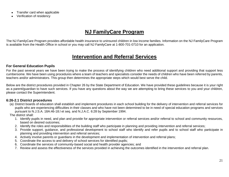- Transfer card when applicable
- Verification of residency

### **NJ FamilyCare Program**

The NJ FamilyCare Program provides affordable health insurance to uninsured children in low income families. Information on the NJ FamilyCare Program is available from the Health Office in school or you may call NJ FamilyCare at 1-800-701-0710 for an application.

#### **Intervention and Referral Services**

#### **For General Education Pupils**

For the past several years we have been trying to make the process of identifying children who need additional support and providing that support less cumbersome. We have been using procedures where a team of teachers and specialists consider the needs of children who have been referred by parents, teachers and/or administrators. This group then determines the appropriate steps which would best serve the child.

Below are the district procedures provided in Chapter 26 by the State Department of Education. We have provided these guidelines because it is your right as a parent/guardian to have such services. If you have any questions about the way we are attempting to bring these services to you and your children, please contact the Superintendent.

#### **6:26-2.1 District procedures**

(a) District boards of education shall establish and implement procedures in each school building for the delivery of intervention and referral services for pupils who are experiencing difficulties in their classes and who have not been determined to be in need of special education programs and services pursuant to N.J.S.A. 18A:46-18.l et seq. and N.J.A.C. 6:28 by September 1994.

The district shall:

- 1. Identify pupils in need, and plan and provide for appropriate intervention or referral services and/or referral to school and community resources, based on desired outcomes;
- 2. Identify the roles and responsibilities of the building staff who participate in planning and providing intervention and referral services;
- 3. Provide support, guidance, and professional development to school staff who identify and refer pupils and to school staff who participate in planning and providing intervention and referral services;
- 4. Actively involve parents or guardians in the development and implementation of intervention and referral plans;
- 5. Coordinate the access to and delivery of school services for identified pupils;
- 6. Coordinate the services of community-based social and health provider agencies; and
- 7. Review and assess the effectiveness of the services provided in achieving the outcomes identified in the intervention and referral plan.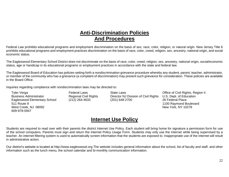#### **Anti-Discrimination Policies And Procedures**

Federal Law prohibits educational programs and employment discrimination on the basis of sex, race, color, religion, or natural origin. New Jersey Title 6 prohibits educational programs and employment practices discrimination on the basis of race, color, creed, religion, sex, ancestry, national origin, and social economic status.

The Eagleswood Elementary School District does not discriminate on the basis of race, color, creed, religion, sex, ancestry, national origin, social/economic status, age or handicap in its educational programs or employment practices in accordance with the state and federal law.

The Eagleswood Board of Education has policies setting forth a nondiscrimination grievance procedure whereby any student, parent, teacher, administrator, or member of the community who has a grievance (a complaint of discrimination) may present such grievance for consideration. These policies are available in the Board Office.

Inquiries regarding compliance with nondiscrimination laws may be directed to:

511 Route 9 1100 Raymond Boulevard West Creek, NJ 08092 New York, NY 10278 609-978-0947

Tyler Verga The State Laws Charles Controller Christene Christene Christene Christene Christene Christene Christene II Business Administrator **Regional Civil Rights** Director NJ Division of Civil Rights U.S. Dept. of Education Eagleswood Elementary School (212) 264-4633 (201) 648-2700 26 Federal Plaza

#### **Internet Use Policy**

Students are required to read over with their parents the district Internet Use Policy. Each student will bring home for signature a permission form for use of the school computers. Parents must sign and return the Internet Policy Usage Form. Students may only use the Internet while being supervised by a teacher. An internet filtering system is used to automatically screen information that the students are exposed to. Inappropriate use of the internet will result in administrative action.

Our district's website is located at http://www.eagleswood.org.The website includes general information about the school, list of faculty and staff, and other information such as the lunch menu, the school calendar and bi-monthly communication information.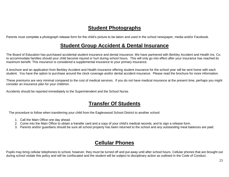### **Student Photographs**

Parents must complete a photograph release form for the child's picture to be taken and used in the school newspaper, media and/or Facebook.

### **Student Group Accident & Dental Insurance**

The Board of Education has purchased accidental student insurance and dental insurance. We have partnered with Berkley Accident and Health Ins. Co. to accommodate families should your child become injured or hurt during school hours. This will only go into effect after your insurance has reached its maximum benefit. This insurance is considered a supplemental insurance to your primary insurance.

A brochure and an application from Berkley Accident and Health Insurance offering student insurance for the school year will be sent home with each student. You have the option to purchase around the clock coverage and/or dental accident insurance. Please read the brochure for more information.

These premiums are very minimal compared to the cost of medical services. If you do not have medical insurance at the present time, perhaps you might consider an insurance plan for your child/ren.

Accidents should be reported immediately to the Superintendent and the School Nurse.

### **Transfer Of Students**

The procedure to follow when transferring your child from the Eagleswood School District to another school:

- 1. Call the Main Office one day ahead.
- 2. Come into the Main Office to obtain a transfer card and a copy of your child's medical records, and to sign a release form.
- 3. Parents and/or guardians should be sure all school property has been returned to the school and any outstanding meal balances are paid.

### **Cellular Phones**

Pupils may bring cellular telephones to school, however, they must be turned off and put away until after school hours. Cellular phones that are brought out during school violate this policy and will be confiscated and the student will be subject to disciplinary action as outlined in the Code of Conduct.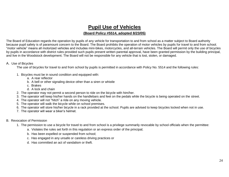### **Pupil Use of Vehicles**

#### **(Board Policy #5514, adopted 8/23/05)**

The Board of Education regards the operation by pupils of any vehicle for transportation to and from school as a matter subject to Board authority because pupil safety is of paramount concern to the Board. The Board prohibits the operation of motor vehicles by pupils for travel to and from school. "motor vehicle" means all motorized vehicles and includes mini-bikes, motorcycles, and all-terrain vehicles. The Board will permit only the use of bicycles by pupils in accordance with district rules provided such pupils present written parental approval, have been granted permission by the building principal, and live in the Woodstock development. The Board will not be responsible for any vehicle that is lost, stolen, or damaged.

#### A. Use of Bicycles

The use of bicycles for travel to and from school by pupils is permitted in accordance with Policy No. 5514 and the following rules:

- 1. Bicycles must be in sound condition and equipped with:
	- a. A rear reflector
	- b. A bell or other signaling device other than a siren or whistle
	- c. Brakes
	- d. A lock and chain
- 2. The operator may not permit a second person to ride on the bicycle with him/her.
- 3. The operator will keep his/her hands on the handlebars and feet on the pedals while the bicycle is being operated on the street.
- 4. The operator will not "hitch" a ride on any moving vehicle.
- 5. The operator will walk the bicycle while on school premises.
- 6. The operator will store his/her bicycle in a rack provided at the school. Pupils are advised to keep bicycles locked when not in use.
- 7. The operator will wear a biker's helmet.
- B. Revocation of Permission
	- 1. The permission to use a bicycle for travel to and from school is a privilege summarily revocable by school officials when the permittee:
		- a. Violates the rules set forth in this regulation or an express order of the principal;
		- b. Has been expelled or suspended from school;
		- c. Has engaged in any unsafe or careless driving practices or
		- d. Has committed an act of vandalism or theft.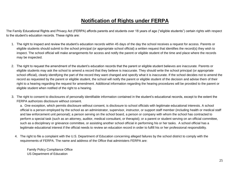### **Notification of Rights under FERPA**

The Family Educational Rights and Privacy Act (FERPA) affords parents and students over 18 years of age ("eligible students") certain rights with respect to the student's education records. These rights are:

- 1. The right to inspect and review the student's education records within 45 days of the day the school receives a request for access. Parents or eligible students should submit to the school principal (or appropriate school official) a written request that identifies the record(s) they wish to inspect. The school official will make arrangements for access and notify the parent or eligible student of the time and place where the records may be inspected.
- 2. The right to request the amendment of the student's education records that the parent or eligible student believes are inaccurate. Parents or eligible students may ask the school to amend a record that they believe is inaccurate. They should write the school principal (or appropriate school official), clearly identifying the part of the record they want changed and specify what it is inaccurate. If the school decides not to amend the record as requested by the parent or eligible student, the school will notify the parent or eligible student of the decision and advise them of their right to a hearing regarding the request for amendment. Additional information regarding the hearing procedures will be provided to the parent or eligible student when notified of the right to a hearing.
- 3. The right to consent to disclosures of personally identifiable information contained in the student's educational records, except to the extent the FERPA authorizes disclosure without consent.

a. One exception, which permits disclosure without consent, is disclosure to school officials with legitimate educational interests. A school official is a person employed by the school as an administrator, supervisor, instructor, or support staff member (including health or medical staff and law enforcement unit personal); a person serving on the school board, a person or company with whom the school has contracted to perform a special task (such as an attorney, auditor, medical consultant, or therapist); or a parent or student serving on an official committee, such as a disciplinary or grievance committee, or assisting another school official in performing his or her tasks. A school official has a legitimate educational interest if the official needs to review an education record in order to fulfill his or her professional responsibility.

4. The right to file a complaint with the U.S. Department of Education concerning alleged failures by the school district to comply with the requirements of FERPA. The name and address of the Office that administers FERPA are:

Family Policy Compliance Office US Department of Education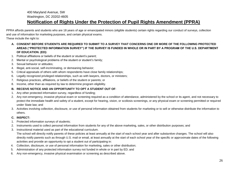#### 400 Maryland Avenue, SW Washington, DC 20202-4605

#### **Notification of Rights Under the Protection of Pupil Rights Amendment (PPRA)**

PPRA affords parents and students who are 18 years of age or emancipated minors (eligible students) certain rights regarding our conduct of surveys, collection and use of information for marketing purposes, and certain physical exams.

These include the right to:

- **A. CONSENT BEFORE STUDENTS ARE REQUIRED TO SUBMIT TO A SURVEY THAT CONCERNS ONE OR MORE OF THE FOLLOWING PROTECTED AREAS ("PROTECTED INFORMATION SURVEY") IF THE SURVEY IS FUNDED IN WHOLE OR IN PART BY A PROGRAM OF THE U.S. DEPARTMENT OF EDUCATION. (ED):**
- 1. Political affiliations or beliefs of the student or student's parent;
- 2. Mental or psychological problems of the student or student's family;
- 3. Sexual behavior or attitudes;
- 4. Illegal, anti-social, self-incriminating, or demeaning behavior;
- 5. Critical appraisals of others with whom respondents have close family relationships;
- 6. Legally recognized privileged relationships, such as with lawyers, doctors, or ministers;
- 7. Religious practices, affiliations, or beliefs of the student or parents; or
- 8. Income, other than as required by law to determine program eligibility.

#### **B. RECEIVE NOTICE AND AN OPPORTUNITY TO OPT A STUDENT OUT OF**:

- 1. Any other protected information survey, regardless of funding;
- 2. Any non-emergency, invasive physical exam or screening required as a condition of attendance, administered by the school or its agent, and not necessary to protect the immediate health and safety of a student, except for hearing, vision, or scoliosis screenings, or any physical exam or screening permitted or required under State law; and
- 3. Activities involving collection, disclosure, or use of personal information obtained from students for marketing or to sell or otherwise distribute the information to others.

#### **C. INSPECT:**

- 1. Protected information surveys of students;
- 2. Instruments used to collect personal information from students for any of the above marketing, sales, or other distribution purposes; and
- 3. Instructional material used as part of the educational curriculum. The school will directly notify parents of these policies at least annually at the start of each school year and after substantive changes. The school will also directly notify parents such as through U.S. mail or email, at least annually at the start of each school year of the specific or approximate dates of the following activities and provide an opportunity to opt a student out of participating in:
- 4. Collection, disclosure, or use of personal information for marketing, sales or other distribution;
- 5. Administration of any protected information survey not funded in whole or in part by ED; and
- 6. Any non-emergency, invasive physical examination or screening as described above.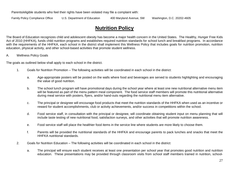Parents/eligible students who feel their rights have been violated may file a complaint with:

Family Policy Compliance Office U.S. Department of Education 400 Maryland Avenue, SW Washington, D.C. 20202-4605

### **Nutrition Policy**

The Board of Education recognizes child and adolescent obesity has become a major health concern in the United States. The Healthy, Hunger Free Kids Act of 2010 (HHFKA), funds child nutrition programs and establishes required nutrition standards for school lunch and breakfast programs. In accordance with the requirements of the HHFKA, each school in the district shall implement this Wellness Policy that includes goals for nutrition promotion, nutrition education, physical activity, and other school-based activities that promote student wellness.

#### A. Wellness Policy Goals

The goals as outlined below shall apply to each school in the district.

- 1. Goals for Nutrition Promotion The following activities will be coordinated in each school in the district:
	- a. Age-appropriate posters will be posted on the walls where food and beverages are served to students highlighting and encouraging the value of good nutrition.
	- b. The school lunch program will have promotional days during the school year where at least one new nutritional alternative menu item will be featured as part of the menu pattern meal component. The food service staff members will promote this nutritional alternative during meal service with posters, flyers, and/or hand-outs regarding the nutritional menu item alternative.
	- c. The principal or designee will encourage food products that meet the nutrition standards of the HHFKA when used as an incentive or reward for student accomplishments, club or activity achievements, and/or success in competitions within the school.
	- d. Food service staff, in consultation with the principal or designee, will coordinate obtaining student input on menu planning that will include taste testing of new nutritional food, satisfaction surveys, and other activities that will promote nutrition awareness.
	- e. Food service staff will place the healthier food items in the service line where students are more likely to choose them.
	- f. Parents will be provided the nutritional standards of the HHFKA and encourage parents to pack lunches and snacks that meet the HHFKA nutritional standards.
- 2. Goals for Nutrition Education The following activities will be coordinated in each school in the district:
	- a. The principal will ensure each student receives at least one presentation per school year that promotes good nutrition and nutrition education. These presentations may be provided through classroom visits from school staff members trained in nutrition, school-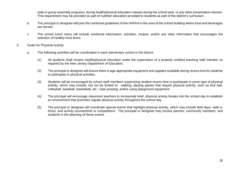wide or group assembly programs, during health/physical education classes during the school year, or any other presentation manner. This requirement may be provided as part of nutrition education provided to students as part of the district's curriculum.

- b. The principal or designee will post the nutritional guidelines of the HHFKA in the area of the school building where food and beverages are served.
- c. The school lunch menu will include nutritional information, activities, recipes, and/or any other information that encourages the selection of healthy food items.
- 3. Goals for Physical Activity
	- a. The following activities will be coordinated in each elementary school in the district:
		- (1) All students shall receive health/physical education under the supervision of a properly certified teaching staff member as required by the New Jersey Department of Education.
		- (2) The principal or designee will ensure there is age-appropriate equipment and supplies available during recess time for students to participate in physical activities.
		- (3) Students will be encouraged by school staff members supervising student recess time to participate in some type of physical activity, which may include, but not be limited to: walking; playing games that require physical activity, such as kick ball, volleyball, baseball, basketball, etc.; rope jumping; and/or using playground equipment.
		- (4) The principal will encourage classroom teachers to incorporate brief, physical activity breaks into the school day to establish an environment that promotes regular physical activity throughout the school day.
		- (5) The principal or designee will coordinate special events that highlight physical activity, which may include field days, walk-athons, and activity tournaments or competitions. The principal or designee may involve parents, community members, and students in the planning of these events.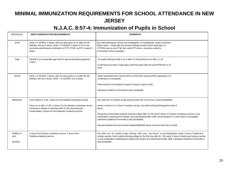### **MINIMAL IMMUNIZATION REQUIREMENTS FOR SCHOOL ATTENDANCE IN NEW JERSEY**

### **N.J.A.C. 8:57-4: Immunization of Pupils in School**

| DISEASE(S)                            | <b>MEETS IMMUNIZATION REQUIREMENTS</b>                                                                                                                                                                                                                                             | <b>COMMENTS</b>                                                                                                                                                                                                                                                                                                                                                                                                                                                                                                                                                                |
|---------------------------------------|------------------------------------------------------------------------------------------------------------------------------------------------------------------------------------------------------------------------------------------------------------------------------------|--------------------------------------------------------------------------------------------------------------------------------------------------------------------------------------------------------------------------------------------------------------------------------------------------------------------------------------------------------------------------------------------------------------------------------------------------------------------------------------------------------------------------------------------------------------------------------|
| <b>DTaP</b>                           | (AGE 1-6 YEARS): 4 doses, with one dose given on or after the 4th<br>birthday, OR any 5 doses. (AGE 7-9 YEARS): 3 doses of Td or any<br>previously administered combination of DTP, DTaP, and DT to equal 3<br>doses                                                               | Any child entering pre-school, pre-Kindergarten, or Kindergarten needs a minimum<br>Offour doses. Pupils after the seventh birthday should receive adult type Td.<br>DTP/Hib vaccine and DTaP also valid DTP doses. Laboratory evidence<br>of immunity is also acceptable.                                                                                                                                                                                                                                                                                                     |
| Tdap                                  | GRADE 6 (or comparable age level for special education programs)<br>1 dose                                                                                                                                                                                                         | For pupils entering Grade 6 on or after 9-1-08 and born on or after 1-1-97.<br>A child does not need a Tdap dose until FIVE years after the last DTP/DTaP or Td<br>dose.                                                                                                                                                                                                                                                                                                                                                                                                       |
| POLIO                                 | (AGE 1-6 YEARS): 3 doses, with one dose given on or after the 4th<br>birthday, OR any 4 doses. (AGE 7 or OLDER): Any 3 doses.                                                                                                                                                      | Either Inactivated Polio Vaccine (IPV) or Oral Polio Vaccine (OPV) separately or in<br>combination is acceptable.<br>Polio vaccine is not required of pupils 18 years of age or older.<br>Laboratory evidence of immunity is also acceptable.                                                                                                                                                                                                                                                                                                                                  |
| <b>MEASLES</b>                        | If born before 1-1-90, 1 dose of a live Measles-containing vaccine.<br>If born on or after 1-1-90, 2 doses of a live Measles-containing vaccine.<br>If entering a college or university after 9-1-95 and previously<br>unvaccinated, 2 doses of a live Measles-containing vaccine. | Any child over 15 months of age entering child care, pre-school, or pre-Kindergarten<br>needs a minimum of 1 dose of measles vaccine. Any child entering Kindergarten needs 2<br>doses.<br>Previously unvaccinated students entering college after 9-1-95 need 2 doses of measles-containing vaccine or any<br>combination containing live measles virus administered after 1968. Documentation of 2 prior doses is acceptable.<br>Laboratory evidence of immunity is also acceptable.<br>Intervals between first and second measles/MMR/MR doses cannot be less than 1 month. |
| <b>RUBELLA</b><br>and<br><b>MUMPS</b> | 1 dose of live Mumps-containing vaccine. 1 dose of live<br>Rubella-containing vaccine.                                                                                                                                                                                             | Any child over 15 months of age entering child care, pre-school, or pre-Kindergarten needs 1 dose of rubella and<br>mumps vaccine. Each student entering college for the first time after 9-1-95 needs 1 dose of rubella and mumps vaccine<br>or any combination containing live rubella and mumps virus administered after 1968. Laboratory evidence of immunity is<br>also acceptable.                                                                                                                                                                                       |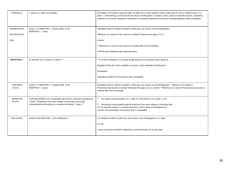| <b>VARICELLA</b>                          | 1 dose on or after first birthday.                                                                                                                                                                                     | All children 19 months of age and older enrolled into a child care/pre-school center after 9-1-04 or children bom on or<br>after 1-1-98 entering a school for the first time in Kindergarten or Grade 1 need 1 dose of varicella vaccine. Laboratory<br>evidence of immunity, physician's statement or a parental statement of previous varicella disease is also acceptable. |
|-------------------------------------------|------------------------------------------------------------------------------------------------------------------------------------------------------------------------------------------------------------------------|-------------------------------------------------------------------------------------------------------------------------------------------------------------------------------------------------------------------------------------------------------------------------------------------------------------------------------------------------------------------------------|
| <b>HAEMOPHILUS</b><br><b>INFLUENZAE B</b> | (AGE 2-11 MONTHS)"1: 2 doses (AGE 12-59<br>MONTHS)'2': 1 dose                                                                                                                                                          | Mandated only for children enrolled in child care, pre-school, or pre-Kindergarten.<br><sup>on</sup> Minimum of 2 doses of Hib vaccine is needed if between the ages of 2-11                                                                                                                                                                                                  |
| (Hib)                                     |                                                                                                                                                                                                                        | months.<br>(2) Minimum of 1 dose of Hib vaccine is needed after the first birthday.                                                                                                                                                                                                                                                                                           |
|                                           |                                                                                                                                                                                                                        | DTP/Hib and Hib/Hep B also valid Hib doses.                                                                                                                                                                                                                                                                                                                                   |
| <b>HEPATITIS B</b>                        | (K-GRADE 12): 3 doses or 2 doses <1)                                                                                                                                                                                   | <1>If a child is between 11-15 years of age and has not received 3 prior doses of<br>Hepatitis B then the child is eligible to receive 2-dose Hepatitis B Adolescent<br>formulation.<br>Laboratory evidence of immunity is also acceptable.                                                                                                                                   |
| PNEUMOC<br><b>OCCAL</b>                   | (AGE 2-11 MONTHS)'1': 2 doses (AGE 12-59<br>MONTHS)' <sup>21</sup> : 1 dose                                                                                                                                            | Mandated only for children enrolled in child care, pre-school, or pre-Kindergarten. "" Minimum of 2 doses of<br>Pneumococcal vaccine is needed if between the ages of 2-11 months. <2)Minimum of 1 dose of Pneumococcal vaccine is<br>needed after the first birthday.                                                                                                        |
| <b>MENINGOC</b><br><b>OCCAL</b>           | (Entering GRADE 6 (or comparable age level for Special Ed programs).<br>1 dose' <sup>1</sup> ' (Entering a four-year college or University, previously<br>unvaccinated and residing in a campus dormitory): 1 dose <2) | (1)<br>For pupils entering Grade 6 on or after 9-1-08 and born on or after 1-1-97.<br>Previously unvaccinated students entering a four-year college or university after<br>(2)<br>9-1-04 and who reside in a campus dormitory, need 1 dose of meningococcal<br>vaccine. Documentation of one prior dose is acceptable.                                                        |
| <b>INFLUENZA</b>                          | (AGES 6-59 MONTHS): 1 dose ANNUALLY                                                                                                                                                                                    | For children enrolled in child care, pre-school or pre-Kindergarten on or after<br>$9-1-08.$<br>1 dose to be given between September 1 and December 31 of each year.                                                                                                                                                                                                          |